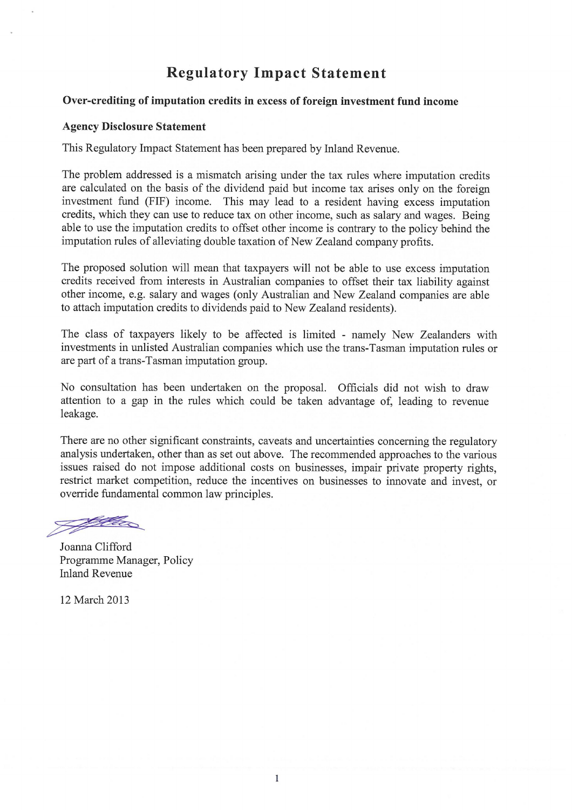# **Regulatory Impact Statement**

### Over-crediting of imputation credits in excess of foreign investment fund income

#### **Agency Disclosure Statement**

This Regulatory Impact Statement has been prepared by Inland Revenue.

The problem addressed is a mismatch arising under the tax rules where imputation credits are calculated on the basis of the dividend paid but income tax arises only on the foreign investment fund (FIF) income. This may lead to a resident having excess imputation credits, which they can use to reduce tax on other income, such as salary and wages. Being able to use the imputation credits to offset other income is contrary to the policy behind the imputation rules of alleviating double taxation of New Zealand company profits.

The proposed solution will mean that taxpayers will not be able to use excess imputation credits received from interests in Australian companies to offset their tax liability against other income, e.g. salary and wages (only Australian and New Zealand companies are able to attach imputation credits to dividends paid to New Zealand residents).

The class of taxpayers likely to be affected is limited - namely New Zealanders with investments in unlisted Australian companies which use the trans-Tasman imputation rules or are part of a trans-Tasman imputation group.

No consultation has been undertaken on the proposal. Officials did not wish to draw attention to a gap in the rules which could be taken advantage of, leading to revenue leakage.

There are no other significant constraints, caveats and uncertainties concerning the regulatory analysis undertaken, other than as set out above. The recommended approaches to the various issues raised do not impose additional costs on businesses, impair private property rights, restrict market competition, reduce the incentives on businesses to innovate and invest, or override fundamental common law principles.

<u>Staller</u>

Joanna Clifford Programme Manager, Policy Inland Revenue

12 March 2013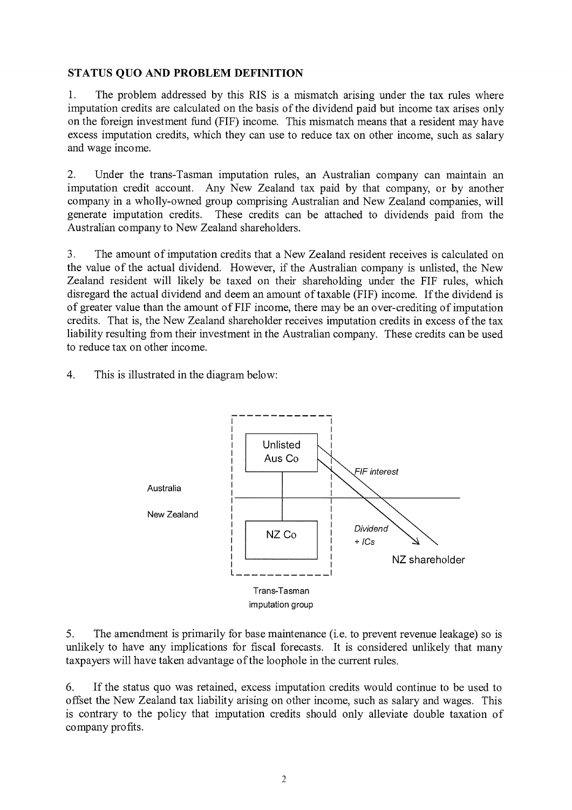# STATUS QUO AND PROBLEM DEFINITION

1. The problem addressed by this RIS is a mismatch arising under the tax rules where imputation credits are calculated on the basis of the dividend paid but income tax arises only on the foreign investment fund (FIF) income. This mismatch means that a resident may have excess imputation credits, which they can use to reduce tax on other income, such as salary and wage income.

2. Under the trans-Tasman imputation rules, an Australian company can maintain an imputation credit account. Any New Zealand tax paid by that company, or by another company in a wholly-owned group comprising Australian and New Zealand companies, will generate imputation credits. These credits can be attached to dividends paid from the Australian company to New Zealand shareholders.

3. The amount of imputation credits that a New Zealand resident receives is calculated on the value of the actual dividend. However, if the Australian company is unlisted, the New Zealand resident will likely be taxed on their shareholding under the FIF rules, which disregard the actual dividend and deem an amount of taxable (FIF) income. If the dividend is of greater value than the amount of FIF income, there may be an over-crediting of imputation credits. That is, the New Zealand shareholder receives imputation credits in excess of the tax liability resulting from their investment in the Australian company. These credits can be used to reduce tax on other income.

4. This is illustrated in the diagram below:



5. The amendment is primarily for base maintenance (i.e. to prevent revenue leakage) so is unlikely to have any implications for fiscal forecasts. It is considered unlikely that many taxpayers will have taken advantage of the loophole in the current rules.

6. If the status quo was retained, excess imputation credits would continue to be used to offset the New Zealand tax liability arising on other income, such as salary and wages. This is contrary to the policy that imputation credits should only alleviate double taxation of company profits.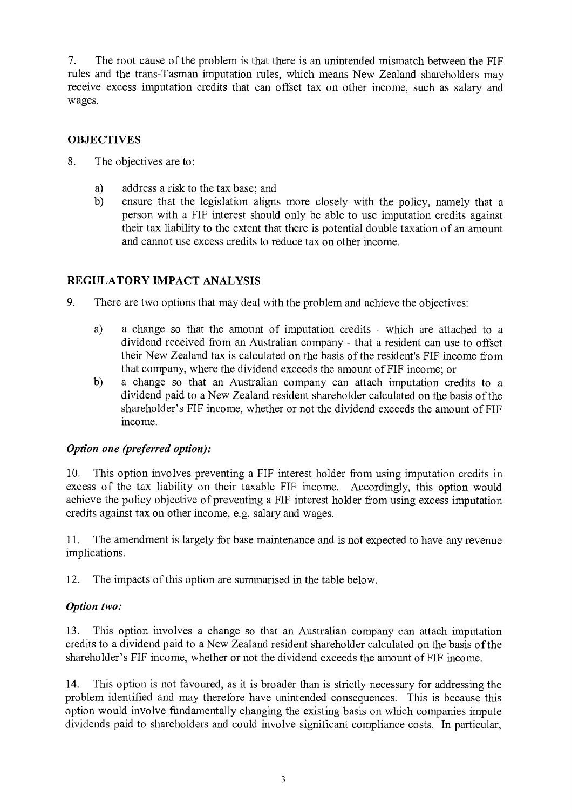7. The root cause of the problem is that there is an unintended mismatch between the FIF rules and the trans-Tasman imputation rules, which means New Zealand shareholders may receive excess imputation credits that can offset tax on other income, such as salary and wages.

# **OBJECTIVES**

- 8. The objectives are to:
	- a) address a risk to the tax base; and
	- b) ensure that the legislation aligns more closely with the policy, namely that a person with a FIF interest should only be able to use imputation credits against their tax liability to the extent that there is potential double taxation of an amount and cannot use excess credits to reduce tax on other income.

# REGULATORY IMPACT ANALYSIS

- 9. There are two options that may deal with the problem and achieve the objectives:
	- a) a change so that the amount of imputation credits which are attached to a dividend received from an Australian company - that a resident can use to offset their New Zealand tax is calculated on the basis of the resident's FIF income from that company, where the dividend exceeds the amount of FIF income; or
	- b) a change so that an Australian company can attach imputation credits to a dividend paid to a New Zealand resident shareholder calculated on the basis of the shareholder's FIF income, whether or not the dividend exceeds the amount of FIF income.

# *Option one (preferred option):*

10. This option involves preventing a FIF interest holder from using imputation credits in excess of the tax liability on their taxable FIF income. Accordingly, this option would achieve the policy objective of preventing a FIF interest holder from using excess imputation credits against tax on other income, e.g. salary and wages.

11. The amendment is largely for base maintenance and is not expected to have any revenue implications.

12. The impacts of this option are summarised in the table below.

### *Option two:*

13. This option involves a change so that an Australian company can attach imputation credits to a dividend paid to a New Zealand resident shareholder calculated on the basis of the shareholder's FIF income, whether or not the dividend exceeds the amount of FIF income.

14. This option is not favoured, as it is broader than is strictly necessary for addressing the problem identified and may therefore have unintended consequences. This is because this option would involve fundamentally changing the existing basis on which companies impute dividends paid to shareholders and could involve significant compliance costs. In particular,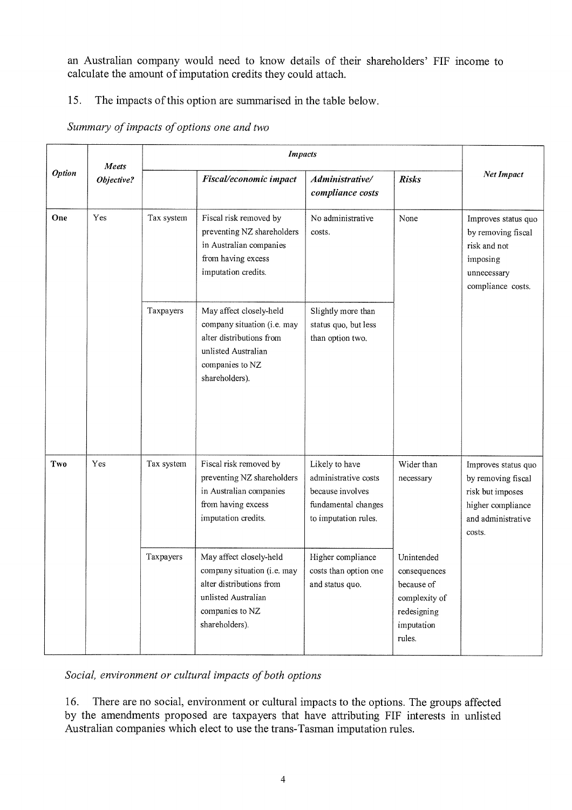an Australian company would need to know details of their shareholders' FIF income to calculate the amount of imputation credits they could attach.

# 15. The impacts of this option are summarised in the table below.

# *Summary of impacts of options one and two*

| <b>Option</b> | Meets<br>Objective? | <b>Impacts</b> |                                                                                                                                                |                                                                                                           |                                                                                                  |                                                                                                                    |
|---------------|---------------------|----------------|------------------------------------------------------------------------------------------------------------------------------------------------|-----------------------------------------------------------------------------------------------------------|--------------------------------------------------------------------------------------------------|--------------------------------------------------------------------------------------------------------------------|
|               |                     |                | Fiscal/economic impact                                                                                                                         | Administrative/<br>compliance costs                                                                       | <b>Risks</b>                                                                                     | Net Impact                                                                                                         |
| One           | Yes                 | Tax system     | Fiscal risk removed by<br>preventing NZ shareholders<br>in Australian companies<br>from having excess<br>imputation credits.                   | No administrative<br>costs.                                                                               | None                                                                                             | Improves status quo<br>by removing fiscal<br>risk and not<br>imposing<br>unnecessary<br>compliance costs.          |
|               |                     | Taxpayers      | May affect closely-held<br>company situation (i.e. may<br>alter distributions from<br>unlisted Australian<br>companies to NZ<br>shareholders). | Slightly more than<br>status quo, but less<br>than option two.                                            |                                                                                                  |                                                                                                                    |
| Two           | Yes                 | Tax system     | Fiscal risk removed by<br>preventing NZ shareholders<br>in Australian companies<br>from having excess<br>imputation credits.                   | Likely to have<br>administrative costs<br>because involves<br>fundamental changes<br>to imputation rules. | Wider than<br>necessary                                                                          | Improves status quo<br>by removing fiscal<br>risk but imposes<br>higher compliance<br>and administrative<br>costs. |
|               |                     | Taxpayers      | May affect closely-held<br>company situation (i.e. may<br>alter distributions from<br>unlisted Australian<br>companies to NZ<br>shareholders). | Higher compliance<br>costs than option one<br>and status quo.                                             | Unintended<br>consequences<br>because of<br>complexity of<br>redesigning<br>imputation<br>rules. |                                                                                                                    |

*Social, environment or cultural impacts of both options* 

16. There are no social, environment or cultural impacts to the options. The groups affected by the amendments proposed are taxpayers that have attributing FIF interests in unlisted Australian companies which elect to use the trans-Tasman imputation rules.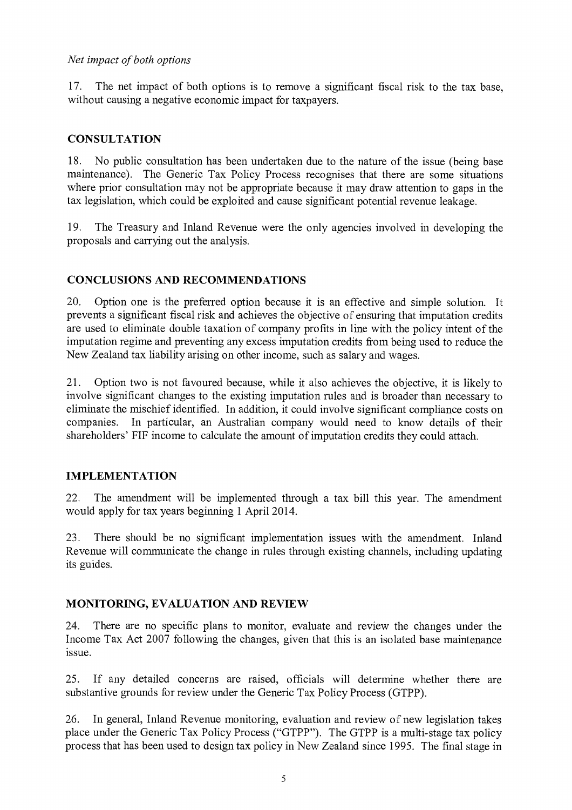### *Net impact of both options*

17. The net impact of both options is to remove a significant fiscal risk to the tax base, without causing a negative economic impact for taxpayers.

### **CONSULTATION**

18. No public consultation has been undertaken due to the nature of the issue (being base maintenance). The Generic Tax Policy Process recognises that there are some situations where prior consultation may not be appropriate because it may draw attention to gaps in the tax legislation, which could be exploited and cause significant potential revenue leakage.

19. The Treasury and Inland Revenue were the only agencies involved in developing the proposals and carrying out the analysis.

# CONCLUSIONS AND RECOMMENDATIONS

20. Option one is the preferred option because it is an effective and simple solution. It prevents a significant fiscal risk and achieves the objective of ensuring that imputation credits are used to eliminate double taxation of company profits in line with the policy intent of the imputation regime and preventing any excess imputation credits from being used to reduce the New Zealand tax liability arising on other income, such as salary and wages.

21. Option two is not favoured because, while it also achieves the objective, it is likely to involve significant changes to the existing imputation rules and is broader than necessary to eliminate the mischief identified. In addition, it could involve significant compliance costs on companies. In particular, an Australian company would need to know details of their shareholders' FIF income to calculate the amount of imputation credits they could attach.

### IMPLEMENTATION

22. The amendment will be implemented through a tax bill this year. The amendment would apply for tax years beginning 1 April 2014.

23. There should be no significant implementation issues with the amendment. Inland Revenue will communicate the change in rules through existing channels, including updating its guides.

# MONITORING, EVALUATION AND REVIEW

24. There are no specific plans to monitor, evaluate and review the changes under the Income Tax Act 2007 following the changes, given that this is an isolated base maintenance issue.

25. If any detailed concerns are raised, officials will determine whether there are substantive grounds for review under the Generic Tax Policy Process (GTPP).

26. In general, Inland Revenue monitoring, evaluation and review of new legislation takes place under the Generic Tax Policy Process ("GTPP"). The GTPP is a multi-stage tax policy process that has been used to design tax policy in New Zealand since 1995. The final stage in